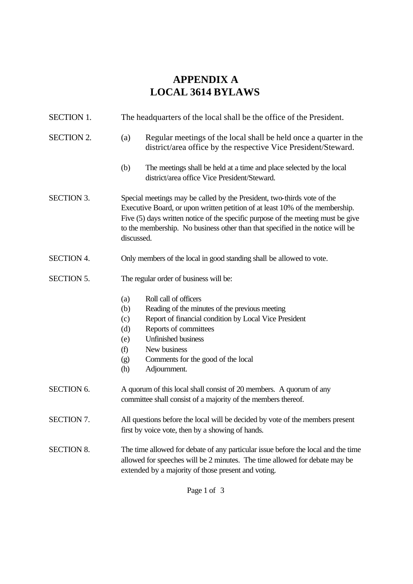## **APPENDIX A LOCAL 3614 BYLAWS**

| SECTION 1.        | The headquarters of the local shall be the office of the President.                                                                                                                                                                                                                                                                         |
|-------------------|---------------------------------------------------------------------------------------------------------------------------------------------------------------------------------------------------------------------------------------------------------------------------------------------------------------------------------------------|
| <b>SECTION 2.</b> | Regular meetings of the local shall be held once a quarter in the<br>(a)<br>district/area office by the respective Vice President/Steward.                                                                                                                                                                                                  |
|                   | The meetings shall be held at a time and place selected by the local<br>(b)<br>district/area office Vice President/Steward.                                                                                                                                                                                                                 |
| <b>SECTION 3.</b> | Special meetings may be called by the President, two-thirds vote of the<br>Executive Board, or upon written petition of at least 10% of the membership.<br>Five (5) days written notice of the specific purpose of the meeting must be give<br>to the membership. No business other than that specified in the notice will be<br>discussed. |
| <b>SECTION 4.</b> | Only members of the local in good standing shall be allowed to vote.                                                                                                                                                                                                                                                                        |
| <b>SECTION 5.</b> | The regular order of business will be:                                                                                                                                                                                                                                                                                                      |
|                   | Roll call of officers<br>(a)<br>Reading of the minutes of the previous meeting<br>(b)<br>Report of financial condition by Local Vice President<br>(c)<br>Reports of committees<br>(d)<br><b>Unfinished business</b><br>(e)<br>New business<br>(f)<br>Comments for the good of the local<br>(g)<br>(h)<br>Adjournment.                       |
| <b>SECTION 6.</b> | A quorum of this local shall consist of 20 members. A quorum of any<br>committee shall consist of a majority of the members thereof.                                                                                                                                                                                                        |
| <b>SECTION 7.</b> | All questions before the local will be decided by vote of the members present<br>first by voice vote, then by a showing of hands.                                                                                                                                                                                                           |
| <b>SECTION 8.</b> | The time allowed for debate of any particular issue before the local and the time<br>allowed for speeches will be 2 minutes. The time allowed for debate may be<br>extended by a majority of those present and voting.                                                                                                                      |

Page 1 of 3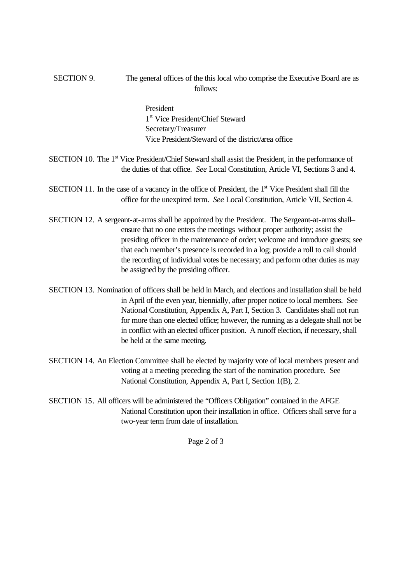SECTION 9. The general offices of the this local who comprise the Executive Board are as follows:

> President 1 st Vice President/Chief Steward Secretary/Treasurer Vice President/Steward of the district/area office

- SECTION 10. The 1<sup>st</sup> Vice President/Chief Steward shall assist the President, in the performance of the duties of that office. *See* Local Constitution, Article VI, Sections 3 and 4.
- SECTION 11. In the case of a vacancy in the office of President, the 1<sup>st</sup> Vice President shall fill the office for the unexpired term. *See* Local Constitution, Article VII, Section 4.
- SECTION 12. A sergeant-at-arms shall be appointed by the President. The Sergeant-at-arms shall– ensure that no one enters the meetings without proper authority; assist the presiding officer in the maintenance of order; welcome and introduce guests; see that each member's presence is recorded in a log; provide a roll to call should the recording of individual votes be necessary; and perform other duties as may be assigned by the presiding officer.
- SECTION 13. Nomination of officers shall be held in March, and elections and installation shall be held in April of the even year, biennially, after proper notice to local members. See National Constitution, Appendix A, Part I, Section 3. Candidates shall not run for more than one elected office; however, the running as a delegate shall not be in conflict with an elected officer position. A runoff election, if necessary, shall be held at the same meeting.
- SECTION 14. An Election Committee shall be elected by majority vote of local members present and voting at a meeting preceding the start of the nomination procedure. See National Constitution, Appendix A, Part I, Section 1(B), 2.
- SECTION 15. All officers will be administered the "Officers Obligation" contained in the AFGE National Constitution upon their installation in office. Officers shall serve for a two-year term from date of installation.

Page 2 of 3